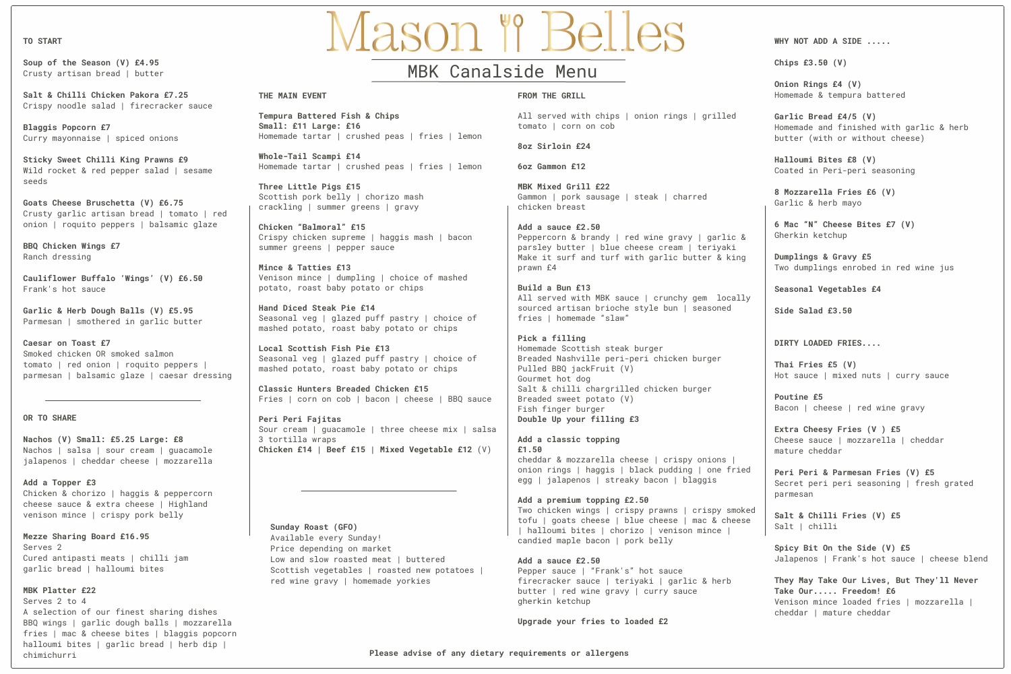#### **TO START**

**Soup of the Season (V) £4.95** Crusty artisan bread | butter

**Salt & Chilli Chicken Pakora £7.25** Crispy noodle salad | firecracker sauce

**Blaggis Popcorn £7** Curry mayonnaise | spiced onions

**Sticky Sweet Chilli King Prawns £9** Wild rocket & red pepper salad | sesame seeds

**Goats Cheese Bruschetta (V) £6.75** Crusty garlic artisan bread | tomato | red onion | roquito peppers | balsamic glaze

**BBQ Chicken Wings £7** Ranch dressing

**Cauliflower Buffalo 'Wings' (V) £6.50** Frank's hot sauce

**Garlic & Herb Dough Balls (V) £5.95** Parmesan | smothered in garlic butter

**Caesar on Toast £7** Smoked chicken OR smoked salmon tomato | red onion | roquito peppers | parmesan | balsamic glaze | caesar dressing

#### **OR TO SHARE**

**Nachos (V) Small: £5.25 Large: £8** Nachos | salsa | sour cream | guacamole jalapenos | cheddar cheese | mozzarella

**Add a Topper £3** Chicken & chorizo | haggis & peppercorn cheese sauce & extra cheese | Highland venison mince | crispy pork belly

**Mezze Sharing Board £16.95** Serves 2 Cured antipasti meats | chilli jam garlic bread | halloumi bites

# **MBK Platter £22**

Serves 2 to 4 A selection of our finest sharing dishes BBQ wings | garlic dough balls | mozzarella fries | mac & cheese bites | blaggis popcorn halloumi bites | garlic bread | herb dip | chimichurri

# Mason " Belles

# MBK Canalside Menu

## **THE MAIN EVENT**

**Tempura Battered Fish & Chips Small: £11 Large: £16** Homemade tartar | crushed peas | fries | lemon

**Whole-Tail Scampi £14** Homemade tartar | crushed peas | fries | lemon

**Three Little Pigs £15** Scottish pork belly | chorizo mash crackling | summer greens | gravy

**Chicken "Balmoral" £15** Crispy chicken supreme | haggis mash | bacon summer greens | pepper sauce

**Mince & Tatties £13** Venison mince | dumpling | choice of mashed potato, roast baby potato or chips

**Hand Diced Steak Pie £14** Seasonal veg | glazed puff pastry | choice of mashed potato, roast baby potato or chips

**Local Scottish Fish Pie £13** Seasonal veg | glazed puff pastry | choice of mashed potato, roast baby potato or chips

**Classic Hunters Breaded Chicken £15** Fries | corn on cob | bacon | cheese | BBQ sauce

**Peri Peri Fajitas** Sour cream | quacamole | three cheese mix | salsa 3 tortilla wraps **Chicken £14 | Beef £15 | Mixed Vegetable £12** (V)

#### **Sunday Roast (GFO)**

Available every Sunday! Price depending on market Low and slow roasted meat I buttered Scottish vegetables | roasted new potatoes | red wine gravy | homemade yorkies

#### **FROM THE GRILL**

All served with chips | onion rings | grilled tomato | corn on cob

#### **8oz Sirloin £24**

**6oz Gammon £12**

**MBK Mixed Grill £22** Gammon | pork sausage | steak | charred chicken breast

**Add a sauce £2.50** Peppercorn & brandy | red wine gravy | garlic & parsley butter | blue cheese cream | teriyaki Make it surf and turf with garlic butter & king prawn £4

**Build a Bun £13** All served with MBK sauce | crunchy gem locally sourced artisan brioche style bun | seasoned fries | homemade "slaw"

**Pick a filling** Homemade Scottish steak burger Breaded Nashville peri-peri chicken burger Pulled BBQ jackFruit (V) Gourmet hot dog Salt & chilli chargrilled chicken burger Breaded sweet potato (V) Fish finger burger **Double Up your filling £3**

**Add a classic topping £1.50** cheddar & mozzarella cheese | crispy onions | onion rings | haggis | black pudding | one fried egg | jalapenos | streaky bacon | blaggis

**Add a premium topping £2.50** Two chicken wings | crispy prawns | crispy smoked tofu | goats cheese | blue cheese | mac & cheese | halloumi bites | chorizo | venison mince | candied maple bacon | pork belly

#### **Add a sauce £2.50** Pepper sauce | "Frank's" hot sauce

firecracker sauce | teriyaki | garlic & herb butter | red wine gravy | curry sauce gherkin ketchup

**Upgrade your fries to loaded £2**

**WHY NOT ADD A SIDE .....**

**Chips £3.50 (V)**

**Onion Rings £4 (V)** Homemade & tempura battered

**Garlic Bread £4/5 (V)** Homemade and finished with garlic & herb butter (with or without cheese)

**Halloumi Bites £8 (V)** Coated in Peri-peri seasoning

**8 Mozzarella Fries £6 (V)** Garlic & herb mayo

**6 Mac "N" Cheese Bites £7 (V)** Gherkin ketchup

**Dumplings & Gravy £5** Two dumplings enrobed in red wine jus

**Seasonal Vegetables £4**

**Side Salad £3.50**

# **DIRTY LOADED FRIES....**

**Thai Fries £5 (V)** Hot sauce | mixed nuts | curry sauce

**Poutine £5** Bacon | cheese | red wine gravy

**Extra Cheesy Fries (V ) £5** Cheese sauce | mozzarella | cheddar mature cheddar

**Peri Peri & Parmesan Fries (V) £5** Secret peri peri seasoning | fresh grated parmesan

**Salt & Chilli Fries (V) £5** Salt | chilli

**Spicy Bit On the Side (V) £5** Jalapenos | Frank's hot sauce | cheese blend

**They May Take Our Lives, But They'll Never Take Our..... Freedom! £6** Venison mince loaded fries | mozzarella | cheddar | mature cheddar

**Please advise of any dietary requirements or allergens**